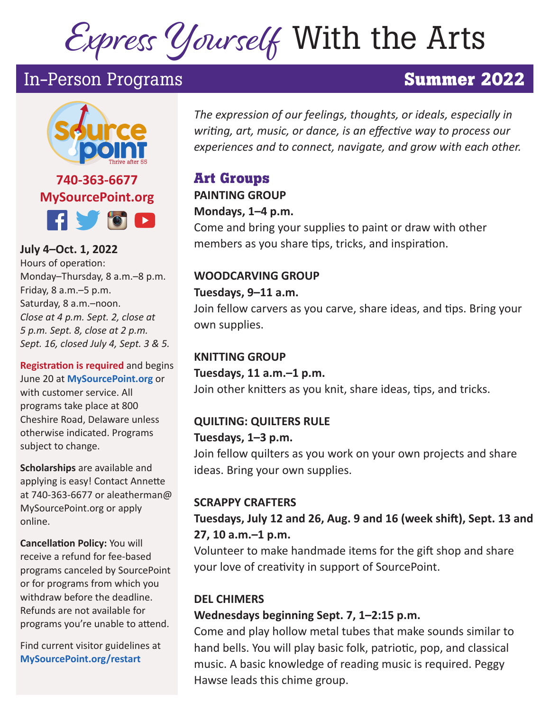# Express Yourself With the Arts

# In-Person Programs **Summer 2022**



**740-363-6677 MySourcePoint.org HVOD** 

**July 4–Oct. 1, 2022**  Hours of operation: Monday–Thursday, 8 a.m.–8 p.m. Friday, 8 a.m.–5 p.m. Saturday, 8 a.m.–noon. *Close at 4 p.m. Sept. 2, close at 5 p.m. Sept. 8, close at 2 p.m. Sept. 16, closed July 4, Sept. 3 & 5.*

**Registration is required** and begins June 20 at **MySourcePoint.org** or with customer service. All programs take place at 800 Cheshire Road, Delaware unless otherwise indicated. Programs subject to change.

**Scholarships** are available and applying is easy! Contact Annette at 740-363-6677 or aleatherman@ MySourcePoint.org or apply online.

**Cancellation Policy:** You will receive a refund for fee-based programs canceled by SourcePoint or for programs from which you withdraw before the deadline. Refunds are not available for programs you're unable to attend.

Find current visitor guidelines at **MySourcePoint.org/restart**

*The expression of our feelings, thoughts, or ideals, especially in writing, art, music, or dance, is an effective way to process our experiences and to connect, navigate, and grow with each other.*

## **Art Groups**

**PAINTING GROUP** 

#### **Mondays, 1–4 p.m.**

Come and bring your supplies to paint or draw with other members as you share tips, tricks, and inspiration.

#### **WOODCARVING GROUP**

#### **Tuesdays, 9–11 a.m.**

Join fellow carvers as you carve, share ideas, and tips. Bring your own supplies.

#### **KNITTING GROUP**

**Tuesdays, 11 a.m.–1 p.m.**  Join other knitters as you knit, share ideas, tips, and tricks.

#### **QUILTING: QUILTERS RULE**

#### **Tuesdays, 1–3 p.m.**

Join fellow quilters as you work on your own projects and share ideas. Bring your own supplies.

#### **SCRAPPY CRAFTERS**

#### **Tuesdays, July 12 and 26, Aug. 9 and 16 (week shift), Sept. 13 and 27, 10 a.m.–1 p.m.**

Volunteer to make handmade items for the gift shop and share your love of creativity in support of SourcePoint.

#### **DEL CHIMERS**

#### **Wednesdays beginning Sept. 7, 1–2:15 p.m.**

Come and play hollow metal tubes that make sounds similar to hand bells. You will play basic folk, patriotic, pop, and classical music. A basic knowledge of reading music is required. Peggy Hawse leads this chime group.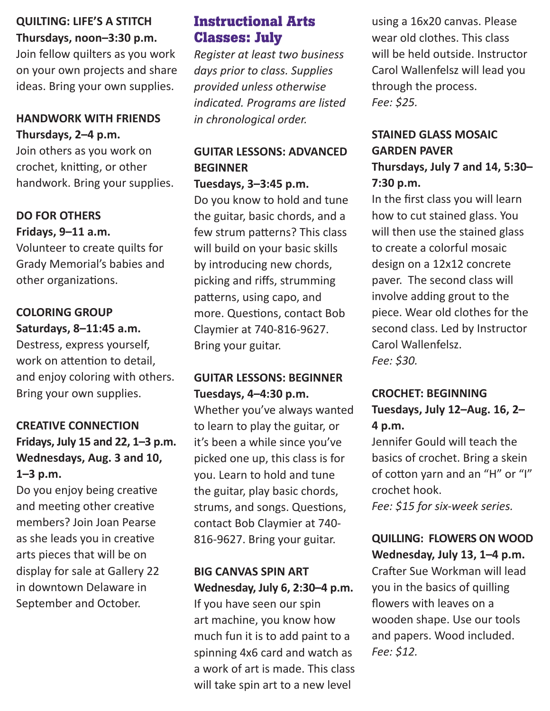#### **QUILTING: LIFE'S A STITCH Thursdays, noon–3:30 p.m.**

Join fellow quilters as you work on your own projects and share ideas. Bring your own supplies.

#### **HANDWORK WITH FRIENDS Thursdays, 2–4 p.m.**

Join others as you work on crochet, knitting, or other handwork. Bring your supplies.

#### **DO FOR OTHERS Fridays, 9–11 a.m.**

Volunteer to create quilts for Grady Memorial's babies and other organizations.

#### **COLORING GROUP Saturdays, 8–11:45 a.m.**

Destress, express yourself, work on attention to detail, and enjoy coloring with others. Bring your own supplies.

#### **CREATIVE CONNECTION**

#### **Fridays, July 15 and 22, 1–3 p.m. Wednesdays, Aug. 3 and 10, 1–3 p.m.**

Do you enjoy being creative and meeting other creative members? Join Joan Pearse as she leads you in creative arts pieces that will be on display for sale at Gallery 22 in downtown Delaware in September and October.

#### **Instructional Arts Classes: July**

*Register at least two business days prior to class. Supplies provided unless otherwise indicated. Programs are listed in chronological order.*

### **GUITAR LESSONS: ADVANCED BEGINNER**

**Tuesdays, 3–3:45 p.m.**

Do you know to hold and tune the guitar, basic chords, and a few strum patterns? This class will build on your basic skills by introducing new chords, picking and riffs, strumming patterns, using capo, and more. Questions, contact Bob Claymier at 740-816-9627. Bring your guitar.

#### **GUITAR LESSONS: BEGINNER Tuesdays, 4–4:30 p.m.**

Whether you've always wanted to learn to play the guitar, or it's been a while since you've picked one up, this class is for you. Learn to hold and tune the guitar, play basic chords, strums, and songs. Questions, contact Bob Claymier at 740- 816-9627. Bring your guitar.

#### **BIG CANVAS SPIN ART Wednesday, July 6, 2:30–4 p.m.**

If you have seen our spin art machine, you know how much fun it is to add paint to a spinning 4x6 card and watch as a work of art is made. This class will take spin art to a new level

using a 16x20 canvas. Please wear old clothes. This class will be held outside. Instructor Carol Wallenfelsz will lead you through the process. *Fee: \$25.*

#### **STAINED GLASS MOSAIC GARDEN PAVER Thursdays, July 7 and 14, 5:30– 7:30 p.m.**

In the first class you will learn how to cut stained glass. You will then use the stained glass to create a colorful mosaic design on a 12x12 concrete paver. The second class will involve adding grout to the piece. Wear old clothes for the second class. Led by Instructor Carol Wallenfelsz. *Fee: \$30.*

#### **CROCHET: BEGINNING Tuesdays, July 12–Aug. 16, 2– 4 p.m.**

Jennifer Gould will teach the basics of crochet. Bring a skein of cotton yarn and an "H" or "I" crochet hook.

*Fee: \$15 for six-week series.*

#### **QUILLING: FLOWERS ON WOOD Wednesday, July 13, 1–4 p.m.**

Crafter Sue Workman will lead you in the basics of quilling flowers with leaves on a wooden shape. Use our tools and papers. Wood included. *Fee: \$12.*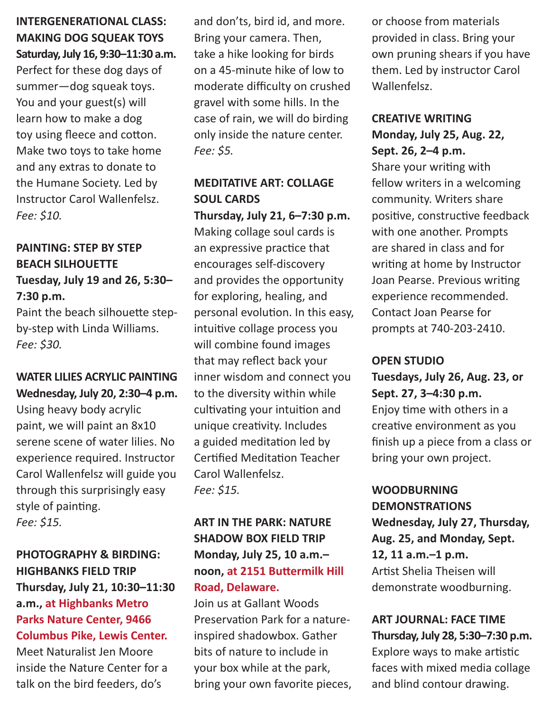#### **INTERGENERATIONAL CLASS: MAKING DOG SQUEAK TOYS Saturday, July 16, 9:30–11:30 a.m.**

Perfect for these dog days of summer—dog squeak toys. You and your guest(s) will learn how to make a dog toy using fleece and cotton. Make two toys to take home and any extras to donate to the Humane Society. Led by Instructor Carol Wallenfelsz. *Fee: \$10.*

#### **PAINTING: STEP BY STEP BEACH SILHOUETTE Tuesday, July 19 and 26, 5:30– 7:30 p.m.**

Paint the beach silhouette stepby-step with Linda Williams. *Fee: \$30.*

#### **WATER LILIES ACRYLIC PAINTING Wednesday, July 20, 2:30–4 p.m.**

Using heavy body acrylic paint, we will paint an 8x10 serene scene of water lilies. No experience required. Instructor Carol Wallenfelsz will guide you through this surprisingly easy style of painting. *Fee: \$15.*

#### **PHOTOGRAPHY & BIRDING: HIGHBANKS FIELD TRIP Thursday, July 21, 10:30–11:30 a.m., at Highbanks Metro Parks Nature Center, 9466 Columbus Pike, Lewis Center.**

Meet Naturalist Jen Moore inside the Nature Center for a talk on the bird feeders, do's

and don'ts, bird id, and more. Bring your camera. Then, take a hike looking for birds on a 45-minute hike of low to moderate difficulty on crushed gravel with some hills. In the case of rain, we will do birding only inside the nature center. *Fee: \$5.*

#### **MEDITATIVE ART: COLLAGE SOUL CARDS**

**Thursday, July 21, 6–7:30 p.m.** Making collage soul cards is an expressive practice that encourages self-discovery and provides the opportunity for exploring, healing, and personal evolution. In this easy, intuitive collage process you will combine found images that may reflect back your inner wisdom and connect you to the diversity within while cultivating your intuition and unique creativity. Includes a guided meditation led by Certified Meditation Teacher Carol Wallenfelsz. *Fee: \$15.*

#### **ART IN THE PARK: NATURE SHADOW BOX FIELD TRIP Monday, July 25, 10 a.m.– noon, at 2151 Buttermilk Hill Road, Delaware.**

Join us at Gallant Woods Preservation Park for a natureinspired shadowbox. Gather bits of nature to include in your box while at the park, bring your own favorite pieces, or choose from materials provided in class. Bring your own pruning shears if you have them. Led by instructor Carol Wallenfelsz.

#### **CREATIVE WRITING Monday, July 25, Aug. 22, Sept. 26, 2–4 p.m.**

Share your writing with fellow writers in a welcoming community. Writers share positive, constructive feedback with one another. Prompts are shared in class and for writing at home by Instructor Joan Pearse. Previous writing experience recommended. Contact Joan Pearse for prompts at 740-203-2410.

#### **OPEN STUDIO**

**Tuesdays, July 26, Aug. 23, or Sept. 27, 3–4:30 p.m.** Enjoy time with others in a creative environment as you finish up a piece from a class or bring your own project.

#### **WOODBURNING DEMONSTRATIONS Wednesday, July 27, Thursday, Aug. 25, and Monday, Sept. 12, 11 a.m.–1 p.m.** Artist Shelia Theisen will demonstrate woodburning.

**ART JOURNAL: FACE TIME Thursday, July 28, 5:30–7:30 p.m.** Explore ways to make artistic faces with mixed media collage and blind contour drawing.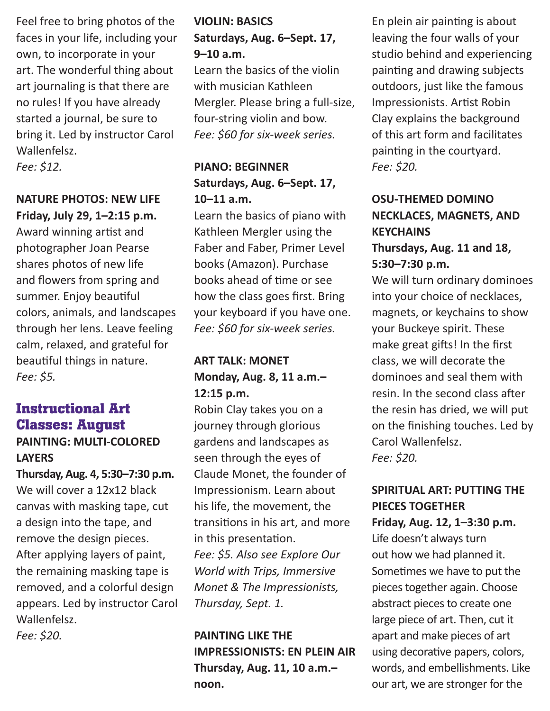Feel free to bring photos of the faces in your life, including your own, to incorporate in your art. The wonderful thing about art journaling is that there are no rules! If you have already started a journal, be sure to bring it. Led by instructor Carol Wallenfelsz.

*Fee: \$12.*

#### **NATURE PHOTOS: NEW LIFE Friday, July 29, 1–2:15 p.m.**

Award winning artist and photographer Joan Pearse shares photos of new life and flowers from spring and summer. Enjoy beautiful colors, animals, and landscapes through her lens. Leave feeling calm, relaxed, and grateful for beautiful things in nature. *Fee: \$5.*

#### **Instructional Art Classes: August**

#### **PAINTING: MULTI-COLORED LAYERS**

**Thursday, Aug. 4, 5:30–7:30 p.m.**  We will cover a 12x12 black canvas with masking tape, cut a design into the tape, and remove the design pieces. After applying layers of paint, the remaining masking tape is removed, and a colorful design appears. Led by instructor Carol Wallenfelsz. *Fee: \$20.*

#### **VIOLIN: BASICS Saturdays, Aug. 6–Sept. 17, 9–10 a.m.**

Learn the basics of the violin with musician Kathleen Mergler. Please bring a full-size, four-string violin and bow. *Fee: \$60 for six-week series.*

#### **PIANO: BEGINNER Saturdays, Aug. 6–Sept. 17, 10–11 a.m.**

Learn the basics of piano with Kathleen Mergler using the Faber and Faber, Primer Level books (Amazon). Purchase books ahead of time or see how the class goes first. Bring your keyboard if you have one. *Fee: \$60 for six-week series.*

#### **ART TALK: MONET Monday, Aug. 8, 11 a.m.– 12:15 p.m.**

Robin Clay takes you on a journey through glorious gardens and landscapes as seen through the eyes of Claude Monet, the founder of Impressionism. Learn about his life, the movement, the transitions in his art, and more in this presentation. *Fee: \$5. Also see Explore Our World with Trips, Immersive Monet & The Impressionists, Thursday, Sept. 1.*

#### **PAINTING LIKE THE IMPRESSIONISTS: EN PLEIN AIR Thursday, Aug. 11, 10 a.m.– noon.**

En plein air painting is about leaving the four walls of your studio behind and experiencing painting and drawing subjects outdoors, just like the famous Impressionists. Artist Robin Clay explains the background of this art form and facilitates painting in the courtyard. *Fee: \$20.*

#### **OSU-THEMED DOMINO NECKLACES, MAGNETS, AND KEYCHAINS Thursdays, Aug. 11 and 18,**

#### **5:30–7:30 p.m.**

We will turn ordinary dominoes into your choice of necklaces, magnets, or keychains to show your Buckeye spirit. These make great gifts! In the first class, we will decorate the dominoes and seal them with resin. In the second class after the resin has dried, we will put on the finishing touches. Led by Carol Wallenfelsz. *Fee: \$20.*

#### **SPIRITUAL ART: PUTTING THE PIECES TOGETHER**

**Friday, Aug. 12, 1–3:30 p.m.** Life doesn't always turn out how we had planned it. Sometimes we have to put the pieces together again. Choose abstract pieces to create one large piece of art. Then, cut it apart and make pieces of art using decorative papers, colors, words, and embellishments. Like our art, we are stronger for the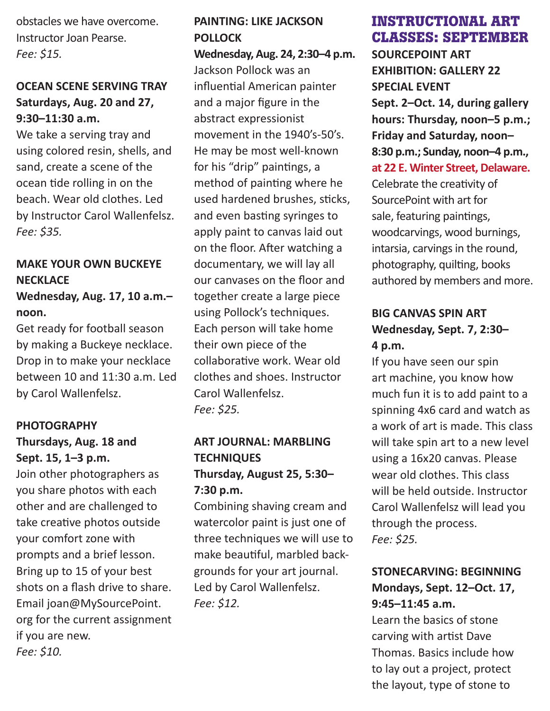obstacles we have overcome. Instructor Joan Pearse. *Fee: \$15.*

#### **OCEAN SCENE SERVING TRAY Saturdays, Aug. 20 and 27, 9:30–11:30 a.m.**

We take a serving tray and using colored resin, shells, and sand, create a scene of the ocean tide rolling in on the beach. Wear old clothes. Led by Instructor Carol Wallenfelsz. *Fee: \$35.*

#### **MAKE YOUR OWN BUCKEYE NECKLACE**

#### **Wednesday, Aug. 17, 10 a.m.– noon.**

Get ready for football season by making a Buckeye necklace. Drop in to make your necklace between 10 and 11:30 a.m. Led by Carol Wallenfelsz.

#### **PHOTOGRAPHY**

#### **Thursdays, Aug. 18 and Sept. 15, 1–3 p.m.**

Join other photographers as you share photos with each other and are challenged to take creative photos outside your comfort zone with prompts and a brief lesson. Bring up to 15 of your best shots on a flash drive to share. Email joan@MySourcePoint. org for the current assignment if you are new. *Fee: \$10.*

#### **PAINTING: LIKE JACKSON POLLOCK**

**Wednesday, Aug. 24, 2:30–4 p.m.**  Jackson Pollock was an influential American painter and a major figure in the abstract expressionist movement in the 1940's-50's. He may be most well-known for his "drip" paintings, a method of painting where he used hardened brushes, sticks, and even basting syringes to apply paint to canvas laid out on the floor. After watching a documentary, we will lay all our canvases on the floor and together create a large piece using Pollock's techniques. Each person will take home their own piece of the collaborative work. Wear old clothes and shoes. Instructor Carol Wallenfelsz. *Fee: \$25.*

#### **ART JOURNAL: MARBLING TECHNIQUES Thursday, August 25, 5:30– 7:30 p.m.**

Combining shaving cream and watercolor paint is just one of three techniques we will use to make beautiful, marbled backgrounds for your art journal. Led by Carol Wallenfelsz. *Fee: \$12.*

#### **INSTRUCTIONAL ART CLASSES: SEPTEMBER**

**SOURCEPOINT ART EXHIBITION: GALLERY 22 SPECIAL EVENT Sept. 2–Oct. 14, during gallery hours: Thursday, noon–5 p.m.; Friday and Saturday, noon– 8:30 p.m.; Sunday, noon–4 p.m., at 22 E. Winter Street, Delaware.**

Celebrate the creativity of SourcePoint with art for sale, featuring paintings, woodcarvings, wood burnings, intarsia, carvings in the round, photography, quilting, books authored by members and more.

#### **BIG CANVAS SPIN ART Wednesday, Sept. 7, 2:30– 4 p.m.**

If you have seen our spin art machine, you know how much fun it is to add paint to a spinning 4x6 card and watch as a work of art is made. This class will take spin art to a new level using a 16x20 canvas. Please wear old clothes. This class will be held outside. Instructor Carol Wallenfelsz will lead you through the process. *Fee: \$25.*

#### **STONECARVING: BEGINNING Mondays, Sept. 12–Oct. 17, 9:45–11:45 a.m.**

Learn the basics of stone carving with artist Dave Thomas. Basics include how to lay out a project, protect the layout, type of stone to